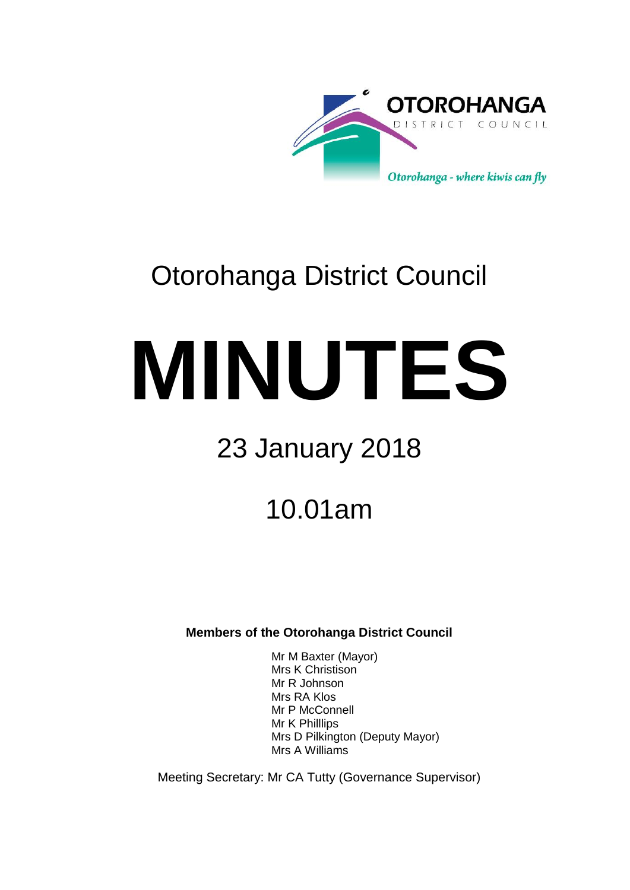

# Otorohanga District Council

# **MINUTES**

# 23 January 2018

# 10.01am

### **Members of the Otorohanga District Council**

Mr M Baxter (Mayor) Mrs K Christison Mr R Johnson Mrs RA Klos Mr P McConnell Mr K Philllips Mrs D Pilkington (Deputy Mayor) Mrs A Williams

Meeting Secretary: Mr CA Tutty (Governance Supervisor)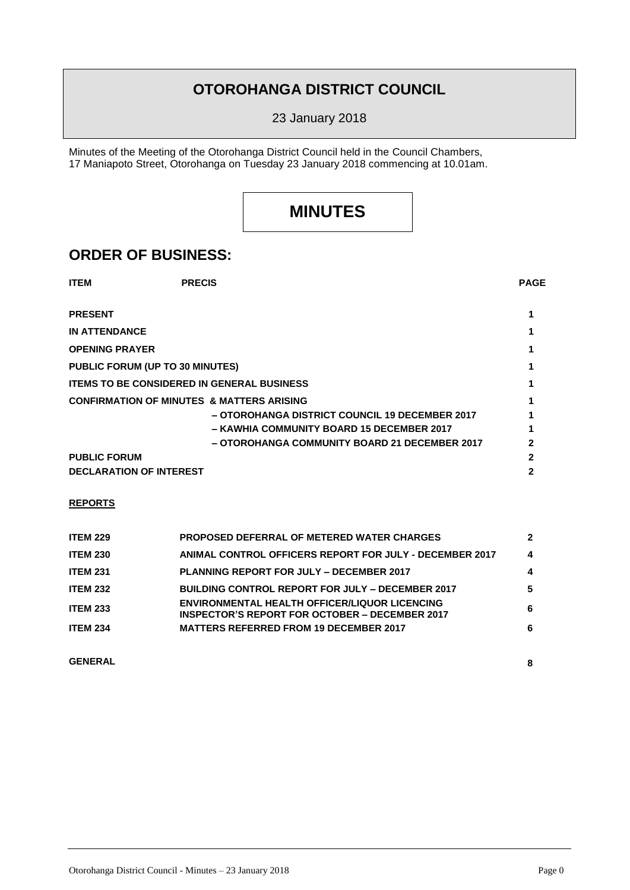## **OTOROHANGA DISTRICT COUNCIL**

23 January 2018

Minutes of the Meeting of the Otorohanga District Council held in the Council Chambers, 17 Maniapoto Street, Otorohanga on Tuesday 23 January 2018 commencing at 10.01am.

## **MINUTES**

## **ORDER OF BUSINESS:**

| <b>ITEM</b>                                          | <b>PRECIS</b>                                  | <b>PAGE</b> |  |
|------------------------------------------------------|------------------------------------------------|-------------|--|
| <b>PRESENT</b>                                       |                                                |             |  |
| <b>IN ATTENDANCE</b>                                 |                                                |             |  |
| <b>OPENING PRAYER</b>                                |                                                |             |  |
| <b>PUBLIC FORUM (UP TO 30 MINUTES)</b>               |                                                |             |  |
| <b>ITEMS TO BE CONSIDERED IN GENERAL BUSINESS</b>    |                                                |             |  |
| <b>CONFIRMATION OF MINUTES &amp; MATTERS ARISING</b> |                                                |             |  |
|                                                      | - OTOROHANGA DISTRICT COUNCIL 19 DECEMBER 2017 |             |  |
|                                                      | - KAWHIA COMMUNITY BOARD 15 DECEMBER 2017      |             |  |
|                                                      | - OTOROHANGA COMMUNITY BOARD 21 DECEMBER 2017  |             |  |
| <b>PUBLIC FORUM</b>                                  |                                                |             |  |
| <b>DECLARATION OF INTEREST</b>                       |                                                |             |  |

#### **REPORTS**

| <b>ITEM 229</b> | <b>PROPOSED DEFERRAL OF METERED WATER CHARGES</b>                                                             | $\boldsymbol{\mathcal{P}}$ |
|-----------------|---------------------------------------------------------------------------------------------------------------|----------------------------|
| <b>ITEM 230</b> | ANIMAL CONTROL OFFICERS REPORT FOR JULY - DECEMBER 2017                                                       | 4                          |
| <b>ITEM 231</b> | <b>PLANNING REPORT FOR JULY - DECEMBER 2017</b>                                                               | 4                          |
| <b>ITEM 232</b> | <b>BUILDING CONTROL REPORT FOR JULY – DECEMBER 2017</b>                                                       | 5.                         |
| <b>ITEM 233</b> | <b>ENVIRONMENTAL HEALTH OFFICER/LIQUOR LICENCING</b><br><b>INSPECTOR'S REPORT FOR OCTOBER – DECEMBER 2017</b> | 6                          |
| <b>ITEM 234</b> | <b>MATTERS REFERRED FROM 19 DECEMBER 2017</b>                                                                 | 6                          |
|                 |                                                                                                               |                            |

**GENERAL 8**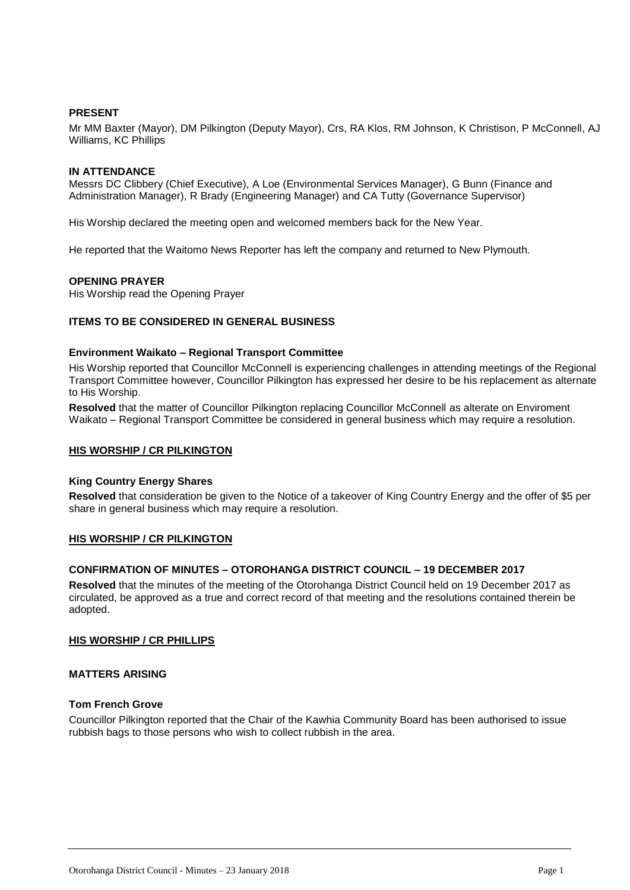#### **PRESENT**

Mr MM Baxter (Mayor), DM Pilkington (Deputy Mayor), Crs, RA Klos, RM Johnson, K Christison, P McConnell, AJ Williams, KC Phillips

#### **IN ATTENDANCE**

Messrs DC Clibbery (Chief Executive), A Loe (Environmental Services Manager), G Bunn (Finance and Administration Manager), R Brady (Engineering Manager) and CA Tutty (Governance Supervisor)

His Worship declared the meeting open and welcomed members back for the New Year.

He reported that the Waitomo News Reporter has left the company and returned to New Plymouth.

#### **OPENING PRAYER**

His Worship read the Opening Prayer

#### **ITEMS TO BE CONSIDERED IN GENERAL BUSINESS**

#### **Environment Waikato – Regional Transport Committee**

His Worship reported that Councillor McConnell is experiencing challenges in attending meetings of the Regional Transport Committee however, Councillor Pilkington has expressed her desire to be his replacement as alternate to His Worship.

**Resolved** that the matter of Councillor Pilkington replacing Councillor McConnell as alterate on Enviroment Waikato – Regional Transport Committee be considered in general business which may require a resolution.

#### **HIS WORSHIP / CR PILKINGTON**

#### **King Country Energy Shares**

**Resolved** that consideration be given to the Notice of a takeover of King Country Energy and the offer of \$5 per share in general business which may require a resolution.

#### **HIS WORSHIP / CR PILKINGTON**

#### **CONFIRMATION OF MINUTES – OTOROHANGA DISTRICT COUNCIL – 19 DECEMBER 2017**

**Resolved** that the minutes of the meeting of the Otorohanga District Council held on 19 December 2017 as circulated, be approved as a true and correct record of that meeting and the resolutions contained therein be adopted.

#### **HIS WORSHIP / CR PHILLIPS**

#### **MATTERS ARISING**

#### **Tom French Grove**

Councillor Pilkington reported that the Chair of the Kawhia Community Board has been authorised to issue rubbish bags to those persons who wish to collect rubbish in the area.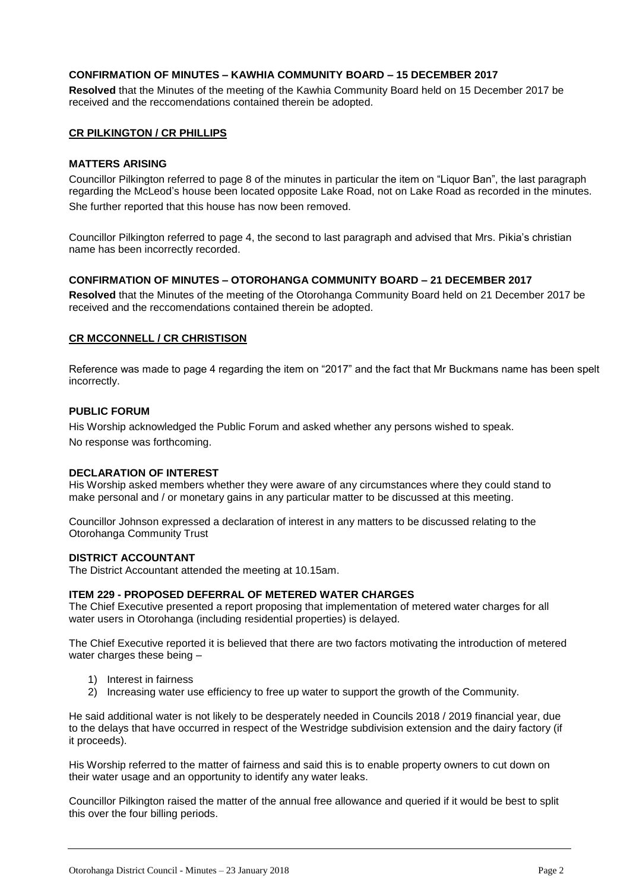#### **CONFIRMATION OF MINUTES – KAWHIA COMMUNITY BOARD – 15 DECEMBER 2017**

**Resolved** that the Minutes of the meeting of the Kawhia Community Board held on 15 December 2017 be received and the reccomendations contained therein be adopted.

#### **CR PILKINGTON / CR PHILLIPS**

#### **MATTERS ARISING**

Councillor Pilkington referred to page 8 of the minutes in particular the item on "Liquor Ban", the last paragraph regarding the McLeod's house been located opposite Lake Road, not on Lake Road as recorded in the minutes. She further reported that this house has now been removed.

Councillor Pilkington referred to page 4, the second to last paragraph and advised that Mrs. Pikia's christian name has been incorrectly recorded.

#### **CONFIRMATION OF MINUTES – OTOROHANGA COMMUNITY BOARD – 21 DECEMBER 2017**

**Resolved** that the Minutes of the meeting of the Otorohanga Community Board held on 21 December 2017 be received and the reccomendations contained therein be adopted.

#### **CR MCCONNELL / CR CHRISTISON**

Reference was made to page 4 regarding the item on "2017" and the fact that Mr Buckmans name has been spelt incorrectly.

#### **PUBLIC FORUM**

His Worship acknowledged the Public Forum and asked whether any persons wished to speak.

No response was forthcoming.

#### **DECLARATION OF INTEREST**

His Worship asked members whether they were aware of any circumstances where they could stand to make personal and / or monetary gains in any particular matter to be discussed at this meeting.

Councillor Johnson expressed a declaration of interest in any matters to be discussed relating to the Otorohanga Community Trust

#### **DISTRICT ACCOUNTANT**

The District Accountant attended the meeting at 10.15am.

#### **ITEM 229 - PROPOSED DEFERRAL OF METERED WATER CHARGES**

The Chief Executive presented a report proposing that implementation of metered water charges for all water users in Otorohanga (including residential properties) is delayed.

The Chief Executive reported it is believed that there are two factors motivating the introduction of metered water charges these being –

- 1) Interest in fairness
- 2) Increasing water use efficiency to free up water to support the growth of the Community.

He said additional water is not likely to be desperately needed in Councils 2018 / 2019 financial year, due to the delays that have occurred in respect of the Westridge subdivision extension and the dairy factory (if it proceeds).

His Worship referred to the matter of fairness and said this is to enable property owners to cut down on their water usage and an opportunity to identify any water leaks.

Councillor Pilkington raised the matter of the annual free allowance and queried if it would be best to split this over the four billing periods.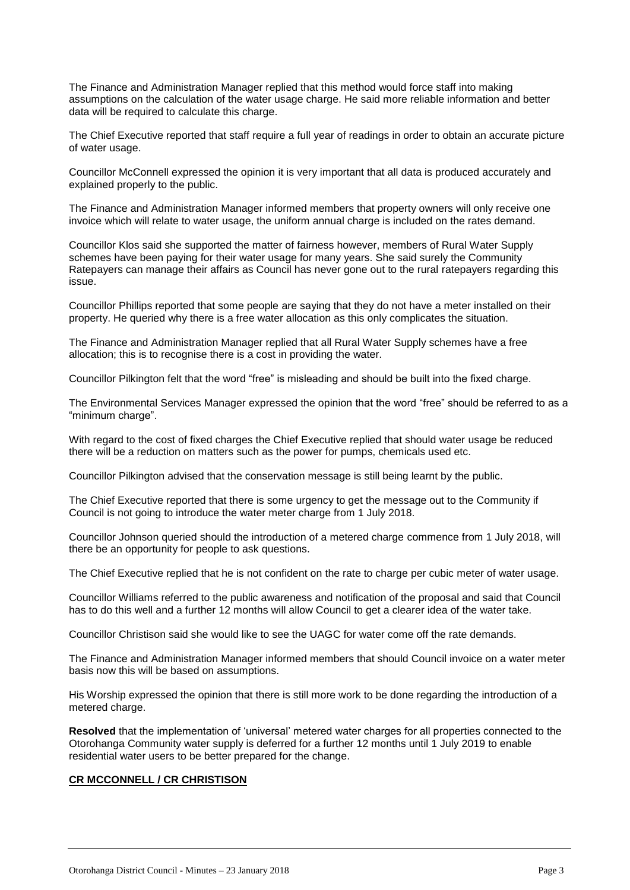The Finance and Administration Manager replied that this method would force staff into making assumptions on the calculation of the water usage charge. He said more reliable information and better data will be required to calculate this charge.

The Chief Executive reported that staff require a full year of readings in order to obtain an accurate picture of water usage.

Councillor McConnell expressed the opinion it is very important that all data is produced accurately and explained properly to the public.

The Finance and Administration Manager informed members that property owners will only receive one invoice which will relate to water usage, the uniform annual charge is included on the rates demand.

Councillor Klos said she supported the matter of fairness however, members of Rural Water Supply schemes have been paying for their water usage for many years. She said surely the Community Ratepayers can manage their affairs as Council has never gone out to the rural ratepayers regarding this issue.

Councillor Phillips reported that some people are saying that they do not have a meter installed on their property. He queried why there is a free water allocation as this only complicates the situation.

The Finance and Administration Manager replied that all Rural Water Supply schemes have a free allocation; this is to recognise there is a cost in providing the water.

Councillor Pilkington felt that the word "free" is misleading and should be built into the fixed charge.

The Environmental Services Manager expressed the opinion that the word "free" should be referred to as a "minimum charge".

With regard to the cost of fixed charges the Chief Executive replied that should water usage be reduced there will be a reduction on matters such as the power for pumps, chemicals used etc.

Councillor Pilkington advised that the conservation message is still being learnt by the public.

The Chief Executive reported that there is some urgency to get the message out to the Community if Council is not going to introduce the water meter charge from 1 July 2018.

Councillor Johnson queried should the introduction of a metered charge commence from 1 July 2018, will there be an opportunity for people to ask questions.

The Chief Executive replied that he is not confident on the rate to charge per cubic meter of water usage.

Councillor Williams referred to the public awareness and notification of the proposal and said that Council has to do this well and a further 12 months will allow Council to get a clearer idea of the water take.

Councillor Christison said she would like to see the UAGC for water come off the rate demands.

The Finance and Administration Manager informed members that should Council invoice on a water meter basis now this will be based on assumptions.

His Worship expressed the opinion that there is still more work to be done regarding the introduction of a metered charge.

**Resolved** that the implementation of 'universal' metered water charges for all properties connected to the Otorohanga Community water supply is deferred for a further 12 months until 1 July 2019 to enable residential water users to be better prepared for the change.

#### **CR MCCONNELL / CR CHRISTISON**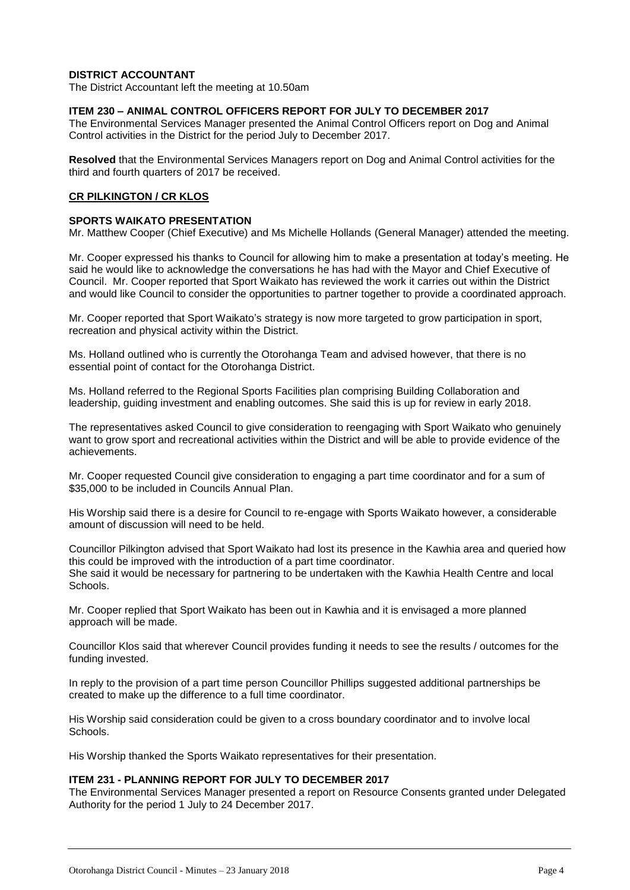#### **DISTRICT ACCOUNTANT**

The District Accountant left the meeting at 10.50am

#### **ITEM 230 – ANIMAL CONTROL OFFICERS REPORT FOR JULY TO DECEMBER 2017**

The Environmental Services Manager presented the Animal Control Officers report on Dog and Animal Control activities in the District for the period July to December 2017.

**Resolved** that the Environmental Services Managers report on Dog and Animal Control activities for the third and fourth quarters of 2017 be received.

#### **CR PILKINGTON / CR KLOS**

#### **SPORTS WAIKATO PRESENTATION**

Mr. Matthew Cooper (Chief Executive) and Ms Michelle Hollands (General Manager) attended the meeting.

Mr. Cooper expressed his thanks to Council for allowing him to make a presentation at today's meeting. He said he would like to acknowledge the conversations he has had with the Mayor and Chief Executive of Council. Mr. Cooper reported that Sport Waikato has reviewed the work it carries out within the District and would like Council to consider the opportunities to partner together to provide a coordinated approach.

Mr. Cooper reported that Sport Waikato's strategy is now more targeted to grow participation in sport, recreation and physical activity within the District.

Ms. Holland outlined who is currently the Otorohanga Team and advised however, that there is no essential point of contact for the Otorohanga District.

Ms. Holland referred to the Regional Sports Facilities plan comprising Building Collaboration and leadership, guiding investment and enabling outcomes. She said this is up for review in early 2018.

The representatives asked Council to give consideration to reengaging with Sport Waikato who genuinely want to grow sport and recreational activities within the District and will be able to provide evidence of the achievements.

Mr. Cooper requested Council give consideration to engaging a part time coordinator and for a sum of \$35,000 to be included in Councils Annual Plan.

His Worship said there is a desire for Council to re-engage with Sports Waikato however, a considerable amount of discussion will need to be held.

Councillor Pilkington advised that Sport Waikato had lost its presence in the Kawhia area and queried how this could be improved with the introduction of a part time coordinator. She said it would be necessary for partnering to be undertaken with the Kawhia Health Centre and local Schools.

Mr. Cooper replied that Sport Waikato has been out in Kawhia and it is envisaged a more planned approach will be made.

Councillor Klos said that wherever Council provides funding it needs to see the results / outcomes for the funding invested.

In reply to the provision of a part time person Councillor Phillips suggested additional partnerships be created to make up the difference to a full time coordinator.

His Worship said consideration could be given to a cross boundary coordinator and to involve local Schools.

His Worship thanked the Sports Waikato representatives for their presentation.

#### **ITEM 231 - PLANNING REPORT FOR JULY TO DECEMBER 2017**

The Environmental Services Manager presented a report on Resource Consents granted under Delegated Authority for the period 1 July to 24 December 2017.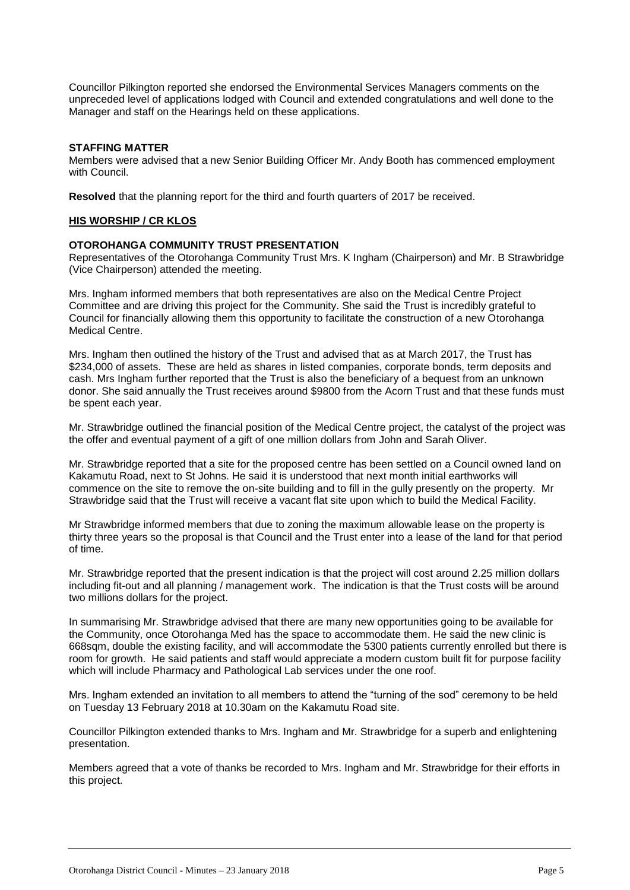Councillor Pilkington reported she endorsed the Environmental Services Managers comments on the unpreceded level of applications lodged with Council and extended congratulations and well done to the Manager and staff on the Hearings held on these applications.

#### **STAFFING MATTER**

Members were advised that a new Senior Building Officer Mr. Andy Booth has commenced employment with Council.

**Resolved** that the planning report for the third and fourth quarters of 2017 be received.

#### **HIS WORSHIP / CR KLOS**

#### **OTOROHANGA COMMUNITY TRUST PRESENTATION**

Representatives of the Otorohanga Community Trust Mrs. K Ingham (Chairperson) and Mr. B Strawbridge (Vice Chairperson) attended the meeting.

Mrs. Ingham informed members that both representatives are also on the Medical Centre Project Committee and are driving this project for the Community. She said the Trust is incredibly grateful to Council for financially allowing them this opportunity to facilitate the construction of a new Otorohanga Medical Centre.

Mrs. Ingham then outlined the history of the Trust and advised that as at March 2017, the Trust has \$234,000 of assets. These are held as shares in listed companies, corporate bonds, term deposits and cash. Mrs Ingham further reported that the Trust is also the beneficiary of a bequest from an unknown donor. She said annually the Trust receives around \$9800 from the Acorn Trust and that these funds must be spent each year.

Mr. Strawbridge outlined the financial position of the Medical Centre project, the catalyst of the project was the offer and eventual payment of a gift of one million dollars from John and Sarah Oliver.

Mr. Strawbridge reported that a site for the proposed centre has been settled on a Council owned land on Kakamutu Road, next to St Johns. He said it is understood that next month initial earthworks will commence on the site to remove the on-site building and to fill in the gully presently on the property. Mr Strawbridge said that the Trust will receive a vacant flat site upon which to build the Medical Facility.

Mr Strawbridge informed members that due to zoning the maximum allowable lease on the property is thirty three years so the proposal is that Council and the Trust enter into a lease of the land for that period of time.

Mr. Strawbridge reported that the present indication is that the project will cost around 2.25 million dollars including fit-out and all planning / management work. The indication is that the Trust costs will be around two millions dollars for the project.

In summarising Mr. Strawbridge advised that there are many new opportunities going to be available for the Community, once Otorohanga Med has the space to accommodate them. He said the new clinic is 668sqm, double the existing facility, and will accommodate the 5300 patients currently enrolled but there is room for growth. He said patients and staff would appreciate a modern custom built fit for purpose facility which will include Pharmacy and Pathological Lab services under the one roof.

Mrs. Ingham extended an invitation to all members to attend the "turning of the sod" ceremony to be held on Tuesday 13 February 2018 at 10.30am on the Kakamutu Road site.

Councillor Pilkington extended thanks to Mrs. Ingham and Mr. Strawbridge for a superb and enlightening presentation.

Members agreed that a vote of thanks be recorded to Mrs. Ingham and Mr. Strawbridge for their efforts in this project.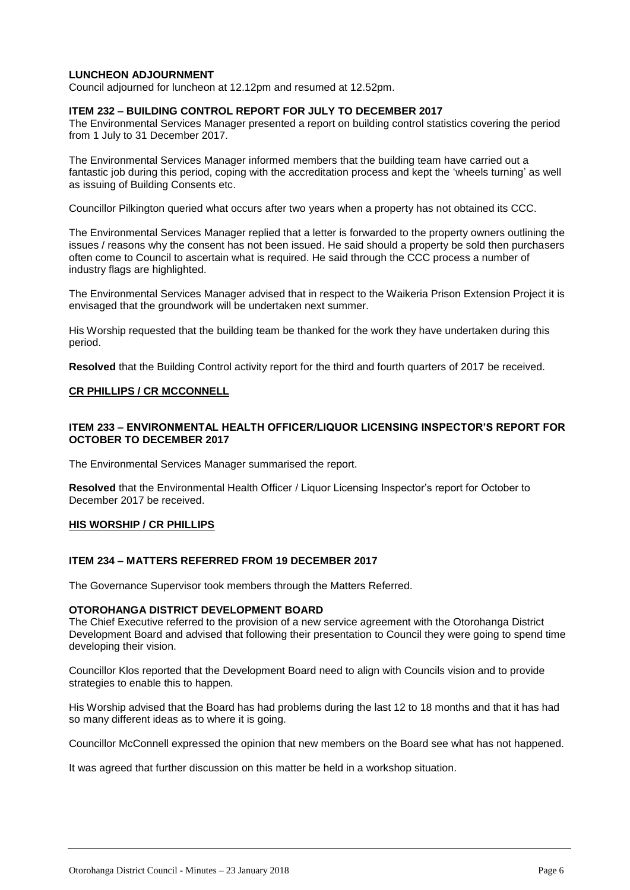#### **LUNCHEON ADJOURNMENT**

Council adjourned for luncheon at 12.12pm and resumed at 12.52pm.

#### **ITEM 232 – BUILDING CONTROL REPORT FOR JULY TO DECEMBER 2017**

The Environmental Services Manager presented a report on building control statistics covering the period from 1 July to 31 December 2017.

The Environmental Services Manager informed members that the building team have carried out a fantastic job during this period, coping with the accreditation process and kept the 'wheels turning' as well as issuing of Building Consents etc.

Councillor Pilkington queried what occurs after two years when a property has not obtained its CCC.

The Environmental Services Manager replied that a letter is forwarded to the property owners outlining the issues / reasons why the consent has not been issued. He said should a property be sold then purchasers often come to Council to ascertain what is required. He said through the CCC process a number of industry flags are highlighted.

The Environmental Services Manager advised that in respect to the Waikeria Prison Extension Project it is envisaged that the groundwork will be undertaken next summer.

His Worship requested that the building team be thanked for the work they have undertaken during this period.

**Resolved** that the Building Control activity report for the third and fourth quarters of 2017 be received.

#### **CR PHILLIPS / CR MCCONNELL**

#### **ITEM 233 – ENVIRONMENTAL HEALTH OFFICER/LIQUOR LICENSING INSPECTOR'S REPORT FOR OCTOBER TO DECEMBER 2017**

The Environmental Services Manager summarised the report.

**Resolved** that the Environmental Health Officer / Liquor Licensing Inspector's report for October to December 2017 be received.

#### **HIS WORSHIP / CR PHILLIPS**

#### **ITEM 234 – MATTERS REFERRED FROM 19 DECEMBER 2017**

The Governance Supervisor took members through the Matters Referred.

#### **OTOROHANGA DISTRICT DEVELOPMENT BOARD**

The Chief Executive referred to the provision of a new service agreement with the Otorohanga District Development Board and advised that following their presentation to Council they were going to spend time developing their vision.

Councillor Klos reported that the Development Board need to align with Councils vision and to provide strategies to enable this to happen.

His Worship advised that the Board has had problems during the last 12 to 18 months and that it has had so many different ideas as to where it is going.

Councillor McConnell expressed the opinion that new members on the Board see what has not happened.

It was agreed that further discussion on this matter be held in a workshop situation.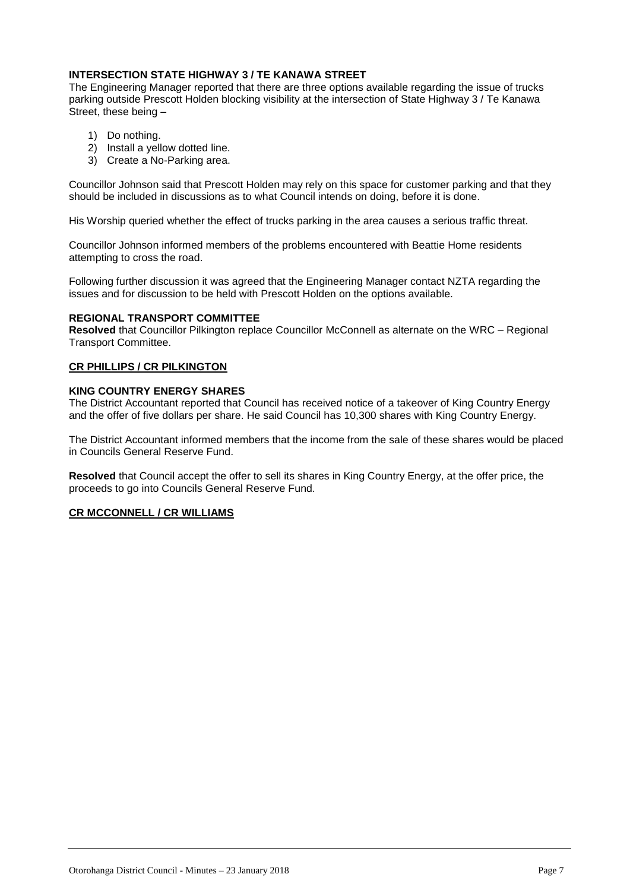#### **INTERSECTION STATE HIGHWAY 3 / TE KANAWA STREET**

The Engineering Manager reported that there are three options available regarding the issue of trucks parking outside Prescott Holden blocking visibility at the intersection of State Highway 3 / Te Kanawa Street, these being –

- 1) Do nothing.
- 2) Install a yellow dotted line.
- 3) Create a No-Parking area.

Councillor Johnson said that Prescott Holden may rely on this space for customer parking and that they should be included in discussions as to what Council intends on doing, before it is done.

His Worship queried whether the effect of trucks parking in the area causes a serious traffic threat.

Councillor Johnson informed members of the problems encountered with Beattie Home residents attempting to cross the road.

Following further discussion it was agreed that the Engineering Manager contact NZTA regarding the issues and for discussion to be held with Prescott Holden on the options available.

#### **REGIONAL TRANSPORT COMMITTEE**

**Resolved** that Councillor Pilkington replace Councillor McConnell as alternate on the WRC – Regional Transport Committee.

#### **CR PHILLIPS / CR PILKINGTON**

#### **KING COUNTRY ENERGY SHARES**

The District Accountant reported that Council has received notice of a takeover of King Country Energy and the offer of five dollars per share. He said Council has 10,300 shares with King Country Energy.

The District Accountant informed members that the income from the sale of these shares would be placed in Councils General Reserve Fund.

**Resolved** that Council accept the offer to sell its shares in King Country Energy, at the offer price, the proceeds to go into Councils General Reserve Fund.

#### **CR MCCONNELL / CR WILLIAMS**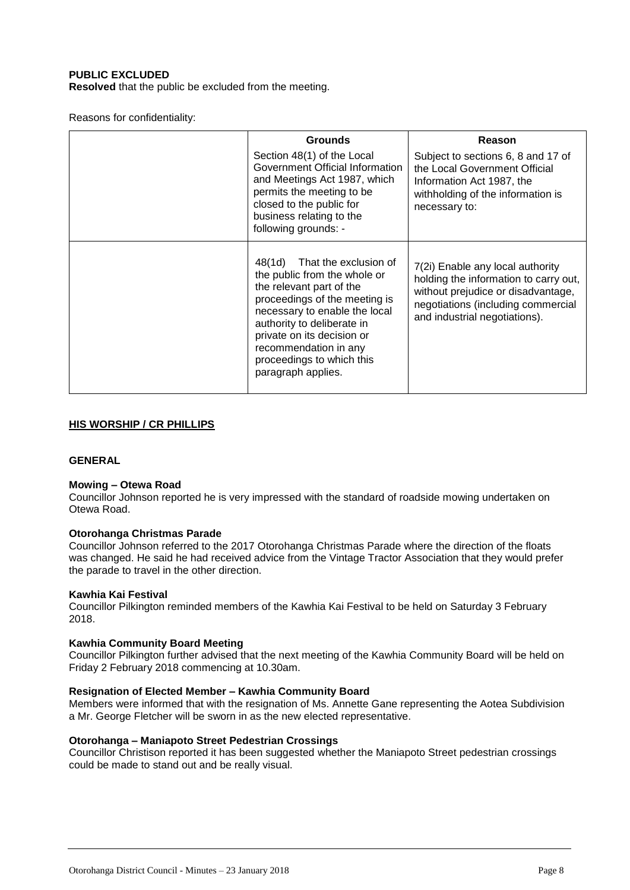#### **PUBLIC EXCLUDED**

**Resolved** that the public be excluded from the meeting.

Reasons for confidentiality:

| <b>Grounds</b>                                                                                                                                                                                                                                                                                     | Reason                                                                                                                                                                                 |
|----------------------------------------------------------------------------------------------------------------------------------------------------------------------------------------------------------------------------------------------------------------------------------------------------|----------------------------------------------------------------------------------------------------------------------------------------------------------------------------------------|
| Section 48(1) of the Local<br>Government Official Information<br>and Meetings Act 1987, which<br>permits the meeting to be<br>closed to the public for<br>business relating to the<br>following grounds: -                                                                                         | Subject to sections 6, 8 and 17 of<br>the Local Government Official<br>Information Act 1987, the<br>withholding of the information is<br>necessary to:                                 |
| 48(1d) That the exclusion of<br>the public from the whole or<br>the relevant part of the<br>proceedings of the meeting is<br>necessary to enable the local<br>authority to deliberate in<br>private on its decision or<br>recommendation in any<br>proceedings to which this<br>paragraph applies. | 7(2i) Enable any local authority<br>holding the information to carry out,<br>without prejudice or disadvantage,<br>negotiations (including commercial<br>and industrial negotiations). |

#### **HIS WORSHIP / CR PHILLIPS**

#### **GENERAL**

#### **Mowing – Otewa Road**

Councillor Johnson reported he is very impressed with the standard of roadside mowing undertaken on Otewa Road.

#### **Otorohanga Christmas Parade**

Councillor Johnson referred to the 2017 Otorohanga Christmas Parade where the direction of the floats was changed. He said he had received advice from the Vintage Tractor Association that they would prefer the parade to travel in the other direction.

#### **Kawhia Kai Festival**

Councillor Pilkington reminded members of the Kawhia Kai Festival to be held on Saturday 3 February 2018.

#### **Kawhia Community Board Meeting**

Councillor Pilkington further advised that the next meeting of the Kawhia Community Board will be held on Friday 2 February 2018 commencing at 10.30am.

#### **Resignation of Elected Member – Kawhia Community Board**

Members were informed that with the resignation of Ms. Annette Gane representing the Aotea Subdivision a Mr. George Fletcher will be sworn in as the new elected representative.

#### **Otorohanga – Maniapoto Street Pedestrian Crossings**

Councillor Christison reported it has been suggested whether the Maniapoto Street pedestrian crossings could be made to stand out and be really visual.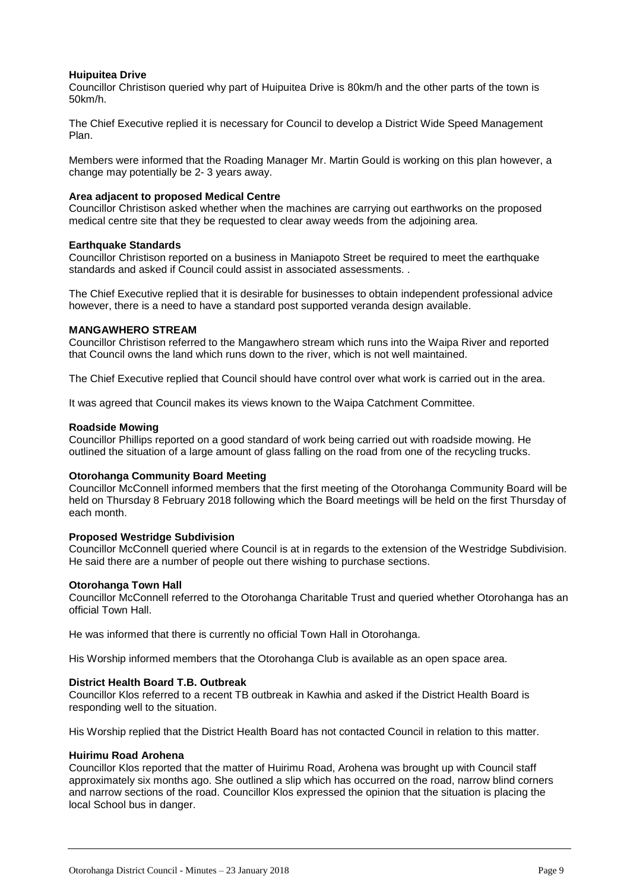#### **Huipuitea Drive**

Councillor Christison queried why part of Huipuitea Drive is 80km/h and the other parts of the town is 50km/h.

The Chief Executive replied it is necessary for Council to develop a District Wide Speed Management Plan.

Members were informed that the Roading Manager Mr. Martin Gould is working on this plan however, a change may potentially be 2- 3 years away.

#### **Area adjacent to proposed Medical Centre**

Councillor Christison asked whether when the machines are carrying out earthworks on the proposed medical centre site that they be requested to clear away weeds from the adjoining area.

#### **Earthquake Standards**

Councillor Christison reported on a business in Maniapoto Street be required to meet the earthquake standards and asked if Council could assist in associated assessments. .

The Chief Executive replied that it is desirable for businesses to obtain independent professional advice however, there is a need to have a standard post supported veranda design available.

#### **MANGAWHERO STREAM**

Councillor Christison referred to the Mangawhero stream which runs into the Waipa River and reported that Council owns the land which runs down to the river, which is not well maintained.

The Chief Executive replied that Council should have control over what work is carried out in the area.

It was agreed that Council makes its views known to the Waipa Catchment Committee.

#### **Roadside Mowing**

Councillor Phillips reported on a good standard of work being carried out with roadside mowing. He outlined the situation of a large amount of glass falling on the road from one of the recycling trucks.

#### **Otorohanga Community Board Meeting**

Councillor McConnell informed members that the first meeting of the Otorohanga Community Board will be held on Thursday 8 February 2018 following which the Board meetings will be held on the first Thursday of each month.

#### **Proposed Westridge Subdivision**

Councillor McConnell queried where Council is at in regards to the extension of the Westridge Subdivision. He said there are a number of people out there wishing to purchase sections.

#### **Otorohanga Town Hall**

Councillor McConnell referred to the Otorohanga Charitable Trust and queried whether Otorohanga has an official Town Hall.

He was informed that there is currently no official Town Hall in Otorohanga.

His Worship informed members that the Otorohanga Club is available as an open space area.

#### **District Health Board T.B. Outbreak**

Councillor Klos referred to a recent TB outbreak in Kawhia and asked if the District Health Board is responding well to the situation.

His Worship replied that the District Health Board has not contacted Council in relation to this matter.

#### **Huirimu Road Arohena**

Councillor Klos reported that the matter of Huirimu Road, Arohena was brought up with Council staff approximately six months ago. She outlined a slip which has occurred on the road, narrow blind corners and narrow sections of the road. Councillor Klos expressed the opinion that the situation is placing the local School bus in danger.